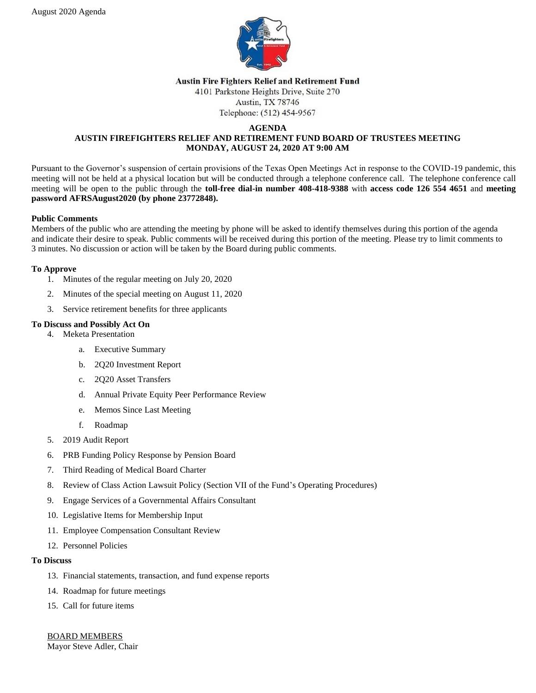

#### **Austin Fire Fighters Relief and Retirement Fund**

4101 Parkstone Heights Drive, Suite 270 Austin, TX 78746

Telephone: (512) 454-9567

#### **AGENDA AUSTIN FIREFIGHTERS RELIEF AND RETIREMENT FUND BOARD OF TRUSTEES MEETING MONDAY, AUGUST 24, 2020 AT 9:00 AM**

Pursuant to the Governor's suspension of certain provisions of the Texas Open Meetings Act in response to the COVID-19 pandemic, this meeting will not be held at a physical location but will be conducted through a telephone conference call. The telephone conference call meeting will be open to the public through the **toll-free dial-in number 408-418-9388** with **access code 126 554 4651** and **meeting password AFRSAugust2020 (by phone 23772848).**

# **Public Comments**

Members of the public who are attending the meeting by phone will be asked to identify themselves during this portion of the agenda and indicate their desire to speak. Public comments will be received during this portion of the meeting. Please try to limit comments to 3 minutes. No discussion or action will be taken by the Board during public comments.

# **To Approve**

- 1. Minutes of the regular meeting on July 20, 2020
- 2. Minutes of the special meeting on August 11, 2020
- 3. Service retirement benefits for three applicants

# **To Discuss and Possibly Act On**

- 4. Meketa Presentation
	- a. Executive Summary
	- b. 2Q20 Investment Report
	- c. 2Q20 Asset Transfers
	- d. Annual Private Equity Peer Performance Review
	- e. Memos Since Last Meeting
	- f. Roadmap
- 5. 2019 Audit Report
- 6. PRB Funding Policy Response by Pension Board
- 7. Third Reading of Medical Board Charter
- 8. Review of Class Action Lawsuit Policy (Section VII of the Fund's Operating Procedures)
- 9. Engage Services of a Governmental Affairs Consultant
- 10. Legislative Items for Membership Input
- 11. Employee Compensation Consultant Review
- 12. Personnel Policies

#### **To Discuss**

- 13. Financial statements, transaction, and fund expense reports
- 14. Roadmap for future meetings
- 15. Call for future items

BOARD MEMBERS Mayor Steve Adler, Chair